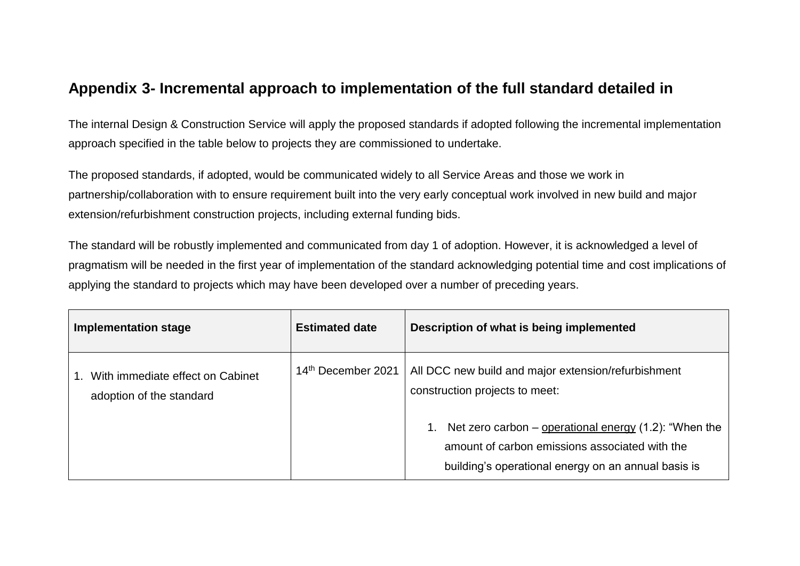## **Appendix 3- Incremental approach to implementation of the full standard detailed in**

The internal Design & Construction Service will apply the proposed standards if adopted following the incremental implementation approach specified in the table below to projects they are commissioned to undertake.

The proposed standards, if adopted, would be communicated widely to all Service Areas and those we work in partnership/collaboration with to ensure requirement built into the very early conceptual work involved in new build and major extension/refurbishment construction projects, including external funding bids.

The standard will be robustly implemented and communicated from day 1 of adoption. However, it is acknowledged a level of pragmatism will be needed in the first year of implementation of the standard acknowledging potential time and cost implications of applying the standard to projects which may have been developed over a number of preceding years.

| <b>Implementation stage</b>                                  | <b>Estimated date</b> | Description of what is being implemented                                                                                                                          |
|--------------------------------------------------------------|-----------------------|-------------------------------------------------------------------------------------------------------------------------------------------------------------------|
| With immediate effect on Cabinet<br>adoption of the standard | 14th December 2021    | All DCC new build and major extension/refurbishment<br>construction projects to meet:                                                                             |
|                                                              |                       | Net zero carbon – operational energy $(1.2)$ : "When the<br>amount of carbon emissions associated with the<br>building's operational energy on an annual basis is |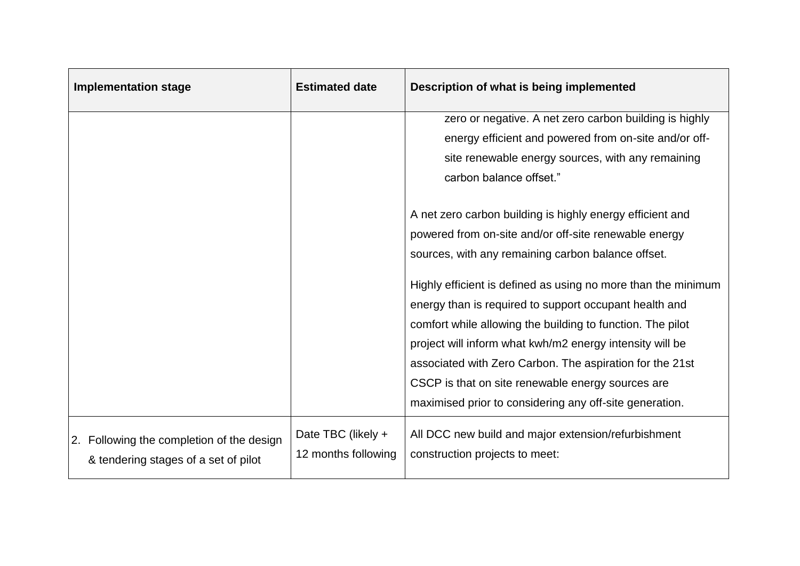| <b>Implementation stage</b>                                                       | <b>Estimated date</b>                     | Description of what is being implemented                                                                                                                                                                                                                                                                                                                                                                                      |
|-----------------------------------------------------------------------------------|-------------------------------------------|-------------------------------------------------------------------------------------------------------------------------------------------------------------------------------------------------------------------------------------------------------------------------------------------------------------------------------------------------------------------------------------------------------------------------------|
|                                                                                   |                                           | zero or negative. A net zero carbon building is highly                                                                                                                                                                                                                                                                                                                                                                        |
|                                                                                   |                                           | energy efficient and powered from on-site and/or off-                                                                                                                                                                                                                                                                                                                                                                         |
|                                                                                   |                                           | site renewable energy sources, with any remaining                                                                                                                                                                                                                                                                                                                                                                             |
|                                                                                   |                                           | carbon balance offset."                                                                                                                                                                                                                                                                                                                                                                                                       |
|                                                                                   |                                           |                                                                                                                                                                                                                                                                                                                                                                                                                               |
|                                                                                   |                                           | A net zero carbon building is highly energy efficient and                                                                                                                                                                                                                                                                                                                                                                     |
|                                                                                   |                                           | powered from on-site and/or off-site renewable energy                                                                                                                                                                                                                                                                                                                                                                         |
|                                                                                   |                                           | sources, with any remaining carbon balance offset.                                                                                                                                                                                                                                                                                                                                                                            |
|                                                                                   |                                           | Highly efficient is defined as using no more than the minimum<br>energy than is required to support occupant health and<br>comfort while allowing the building to function. The pilot<br>project will inform what kwh/m2 energy intensity will be<br>associated with Zero Carbon. The aspiration for the 21st<br>CSCP is that on site renewable energy sources are<br>maximised prior to considering any off-site generation. |
| 2. Following the completion of the design<br>& tendering stages of a set of pilot | Date TBC (likely +<br>12 months following | All DCC new build and major extension/refurbishment<br>construction projects to meet:                                                                                                                                                                                                                                                                                                                                         |